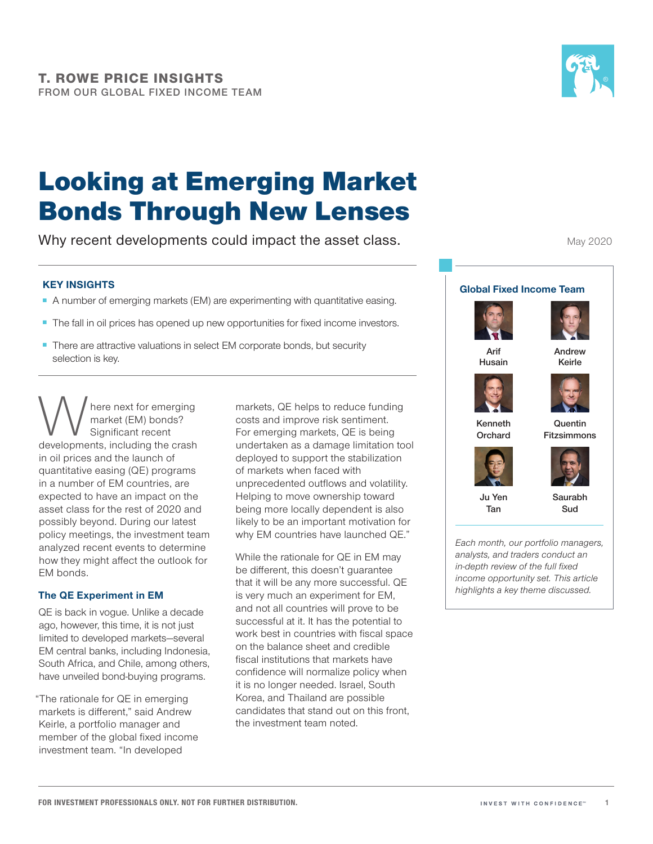

May 2020

# Looking at Emerging Market Bonds Through New Lenses

Why recent developments could impact the asset class.

### **KEY INSIGHTS**

- A number of emerging markets (EM) are experimenting with quantitative easing.
- The fall in oil prices has opened up new opportunities for fixed income investors.
- There are attractive valuations in select EM corporate bonds, but security selection is key.

Where next for emerging<br>
market (EM) bonds?<br>
developments, including the crash market (EM) bonds? Significant recent in oil prices and the launch of quantitative easing (QE) programs in a number of EM countries, are expected to have an impact on the asset class for the rest of 2020 and possibly beyond. During our latest policy meetings, the investment team analyzed recent events to determine how they might affect the outlook for EM bonds.

#### **The QE Experiment in EM**

QE is back in vogue. Unlike a decade ago, however, this time, it is not just limited to developed markets—several EM central banks, including Indonesia, South Africa, and Chile, among others, have unveiled bond-buying programs.

"The rationale for QE in emerging markets is different," said Andrew Keirle, a portfolio manager and member of the global fixed income investment team. "In developed

markets, QE helps to reduce funding costs and improve risk sentiment. For emerging markets, QE is being undertaken as a damage limitation tool deployed to support the stabilization of markets when faced with unprecedented outflows and volatility. Helping to move ownership toward being more locally dependent is also likely to be an important motivation for why EM countries have launched QE."

While the rationale for QE in EM may be different, this doesn't guarantee that it will be any more successful. QE is very much an experiment for EM, and not all countries will prove to be successful at it. It has the potential to work best in countries with fiscal space on the balance sheet and credible fiscal institutions that markets have confidence will normalize policy when it is no longer needed. Israel, South Korea, and Thailand are possible candidates that stand out on this front, the investment team noted.

**Global Fixed Income Team Husain Andrew Keirle Kenneth Orchard Quentin Fitzsimmons**



**Arif** 





*Each month, our portfolio managers, analysts, and traders conduct an in-depth review of the full fixed income opportunity set. This article highlights a key theme discussed.*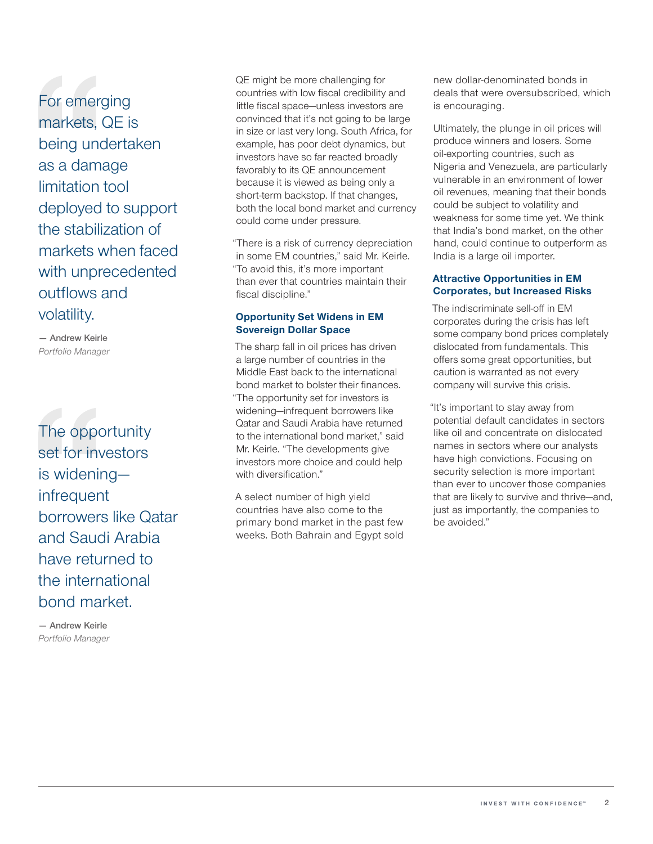For emerging markets, QE is being undertaken as a damage limitation tool deployed to support the stabilization of markets when faced with unprecedented outflows and volatility.

**— Andrew Keirle** *Portfolio Manager*

The opportunity set for investors is widening infrequent borrowers like Qatar and Saudi Arabia have returned to the international bond market.

**— Andrew Keirle** *Portfolio Manager* QE might be more challenging for countries with low fiscal credibility and little fiscal space—unless investors are convinced that it's not going to be large in size or last very long. South Africa, for example, has poor debt dynamics, but investors have so far reacted broadly favorably to its QE announcement because it is viewed as being only a short-term backstop. If that changes, both the local bond market and currency could come under pressure.

"There is a risk of currency depreciation in some EM countries," said Mr. Keirle. "To avoid this, it's more important than ever that countries maintain their fiscal discipline."

#### **Opportunity Set Widens in EM Sovereign Dollar Space**

The sharp fall in oil prices has driven a large number of countries in the Middle East back to the international bond market to bolster their finances. "The opportunity set for investors is widening—infrequent borrowers like Qatar and Saudi Arabia have returned to the international bond market," said Mr. Keirle. "The developments give investors more choice and could help with diversification."

A select number of high yield countries have also come to the primary bond market in the past few weeks. Both Bahrain and Egypt sold new dollar‑denominated bonds in deals that were oversubscribed, which is encouraging.

Ultimately, the plunge in oil prices will produce winners and losers. Some oil‑exporting countries, such as Nigeria and Venezuela, are particularly vulnerable in an environment of lower oil revenues, meaning that their bonds could be subject to volatility and weakness for some time yet. We think that India's bond market, on the other hand, could continue to outperform as India is a large oil importer.

#### **Attractive Opportunities in EM Corporates, but Increased Risks**

The indiscriminate sell‑off in EM corporates during the crisis has left some company bond prices completely dislocated from fundamentals. This offers some great opportunities, but caution is warranted as not every company will survive this crisis.

"It's important to stay away from potential default candidates in sectors like oil and concentrate on dislocated names in sectors where our analysts have high convictions. Focusing on security selection is more important than ever to uncover those companies that are likely to survive and thrive—and, just as importantly, the companies to be avoided."